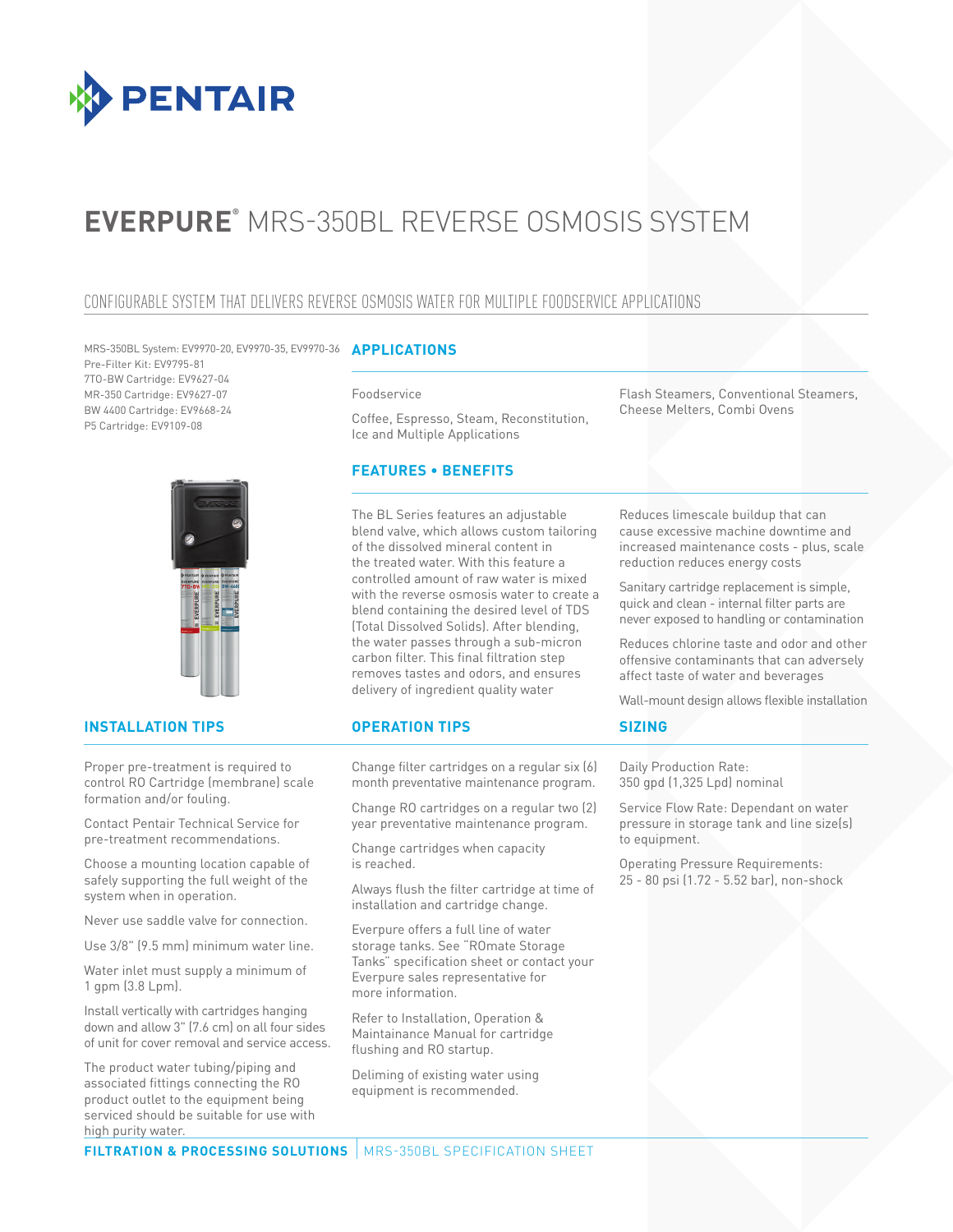

# **EVERPURE®** MRS-350BL REVERSE OSMOSIS SYSTEM

# CONFIGURABLE SYSTEM THAT DELIVERS REVERSE OSMOSIS WATER FOR MULTIPLE FOODSERVICE APPLICATIONS

**APPLICATIONS** MRS-350BL System: EV9970-20, EV9970-35, EV9970-36 Pre-Filter Kit: EV9795-81 7TO-BW Cartridge: EV9627-04 MR-350 Cartridge: EV9627-07 BW 4400 Cartridge: EV9668-24 P5 Cartridge: EV9109-08



## **INSTALLATION TIPS OPERATION TIPS**

Proper pre-treatment is required to control RO Cartridge (membrane) scale formation and/or fouling.

Contact Pentair Technical Service for pre-treatment recommendations.

Choose a mounting location capable of safely supporting the full weight of the system when in operation.

Never use saddle valve for connection.

Use 3/8" (9.5 mm) minimum water line.

Water inlet must supply a minimum of 1 gpm (3.8 Lpm).

Install vertically with cartridges hanging down and allow 3" (7.6 cm) on all four sides of unit for cover removal and service access.

The product water tubing/piping and associated fittings connecting the RO product outlet to the equipment being serviced should be suitable for use with high purity water.

#### Foodservice

Coffee, Espresso, Steam, Reconstitution, Ice and Multiple Applications

# **FEATURES • BENEFITS**

The BL Series features an adjustable blend valve, which allows custom tailoring of the dissolved mineral content in the treated water. With this feature a controlled amount of raw water is mixed with the reverse osmosis water to create a blend containing the desired level of TDS (Total Dissolved Solids). After blending, the water passes through a sub-micron carbon filter. This final filtration step removes tastes and odors, and ensures delivery of ingredient quality water

Change filter cartridges on a regular six (6) month preventative maintenance program.

Change RO cartridges on a regular two (2) year preventative maintenance program.

Change cartridges when capacity is reached.

Always flush the filter cartridge at time of installation and cartridge change.

Everpure offers a full line of water storage tanks. See "ROmate Storage Tanks" specification sheet or contact your Everpure sales representative for more information.

Refer to Installation, Operation & Maintainance Manual for cartridge flushing and RO startup.

Deliming of existing water using equipment is recommended.

Flash Steamers, Conventional Steamers, Cheese Melters, Combi Ovens

Reduces limescale buildup that can cause excessive machine downtime and increased maintenance costs - plus, scale reduction reduces energy costs

Sanitary cartridge replacement is simple, quick and clean - internal filter parts are never exposed to handling or contamination

Reduces chlorine taste and odor and other offensive contaminants that can adversely affect taste of water and beverages

Wall-mount design allows flexible installation

# **SIZING**

Daily Production Rate: 350 gpd (1,325 Lpd) nominal

Service Flow Rate: Dependant on water pressure in storage tank and line size(s) to equipment.

Operating Pressure Requirements: 25 - 80 psi (1.72 - 5.52 bar), non-shock